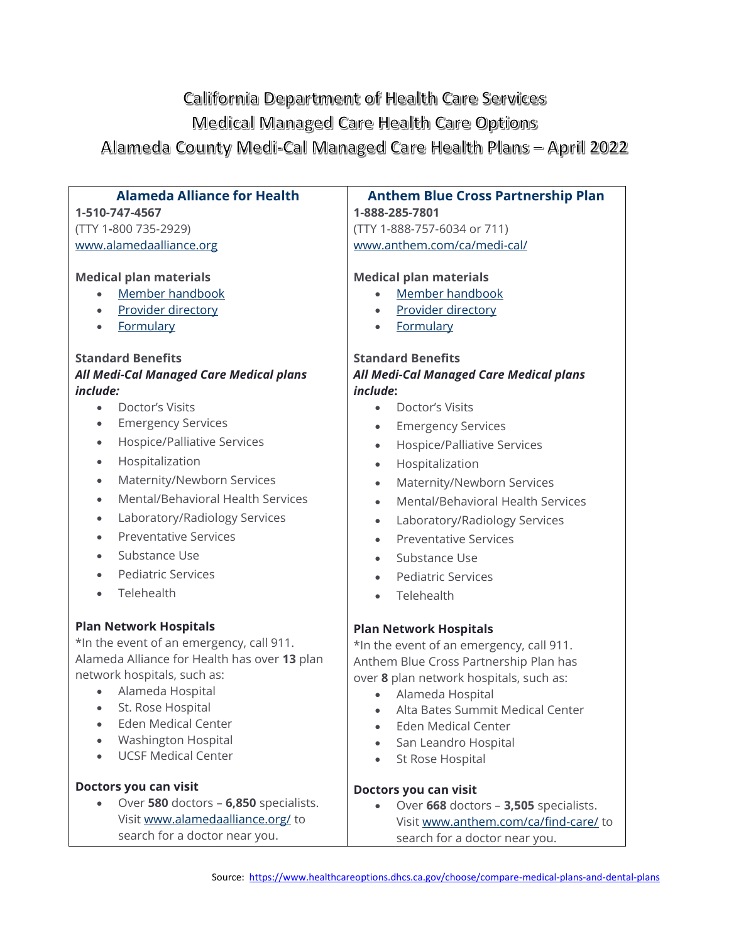# California Department of Health Care Services Medical Managed Care Health Care Options Alameda County Medi-Cal Managed Care Health Plans - April 2022

### **Alameda Alliance for Health**

**1-510-747-4567** (TTY 1**-**800 735-2929) [www.alamedaalliance.org](https://www.alamedaalliance.org/)

#### **Medical plan materials**

- [Member handbook](https://alamedaalliance.org/members/medi-cal/benefits-and-covered-services/)
- [Provider directory](https://alamedaalliance.org/members/medi-cal/benefits-and-covered-services/)
- [Formulary](https://alamedaalliance.org/members/pharmacy-and-medication-benefits/medication-formulary/)

#### **Standard Benefits**

### *All Medi-Cal Managed Care Medical plans include:*

- Doctor's Visits
- Emergency Services
- Hospice/Palliative Services
- Hospitalization
- Maternity/Newborn Services
- Mental/Behavioral Health Services
- Laboratory/Radiology Services
- Preventative Services
- Substance Use
- Pediatric Services
- Telehealth

#### **Plan Network Hospitals**

\*In the event of an emergency, call 911. Alameda Alliance for Health has over **13** plan network hospitals, such as:

- Alameda Hospital
- St. Rose Hospital
- Eden Medical Center
- Washington Hospital
- UCSF Medical Center

#### **Doctors you can visit**

• Over **580** doctors – **6,850** specialists. Visit [www.alamedaalliance.org/](https://alamedaalliance.org/) to search for a doctor near you.

## **Anthem Blue Cross Partnership Plan**

**1-888-285-7801** (TTY 1-888-757-6034 or 711) [www.anthem.com/ca/medi-cal/](https://mss.anthem.com/california-medicaid/home.html)

#### **Medical plan materials**

- [Member handbook](https://mss.anthem.com/california-medicaid/benefits/member-materials.html)
- [Provider directory](https://www.anthem.com/ca/find-care/)
- [Formulary](https://www.anthem.com/ca/ms/pharmacyinformation/home.html)

#### **Standard Benefits** *All Medi-Cal Managed Care Medical plans include***:**

- Doctor's Visits
- **Emergency Services**
- Hospice/Palliative Services
- Hospitalization
- Maternity/Newborn Services
- Mental/Behavioral Health Services
- Laboratory/Radiology Services
- Preventative Services
- Substance Use
- Pediatric Services
- Telehealth

#### **Plan Network Hospitals**

\*In the event of an emergency, call 911. Anthem Blue Cross Partnership Plan has over **8** plan network hospitals, such as:

- Alameda Hospital
- Alta Bates Summit Medical Center
- Eden Medical Center
- San Leandro Hospital
- St Rose Hospital

#### **Doctors you can visit**

• Over **668** doctors – **3,505** specialists. Visit [www.anthem.com/ca/find-care/](https://www.anthem.com/ca/find-care/) to search for a doctor near you.